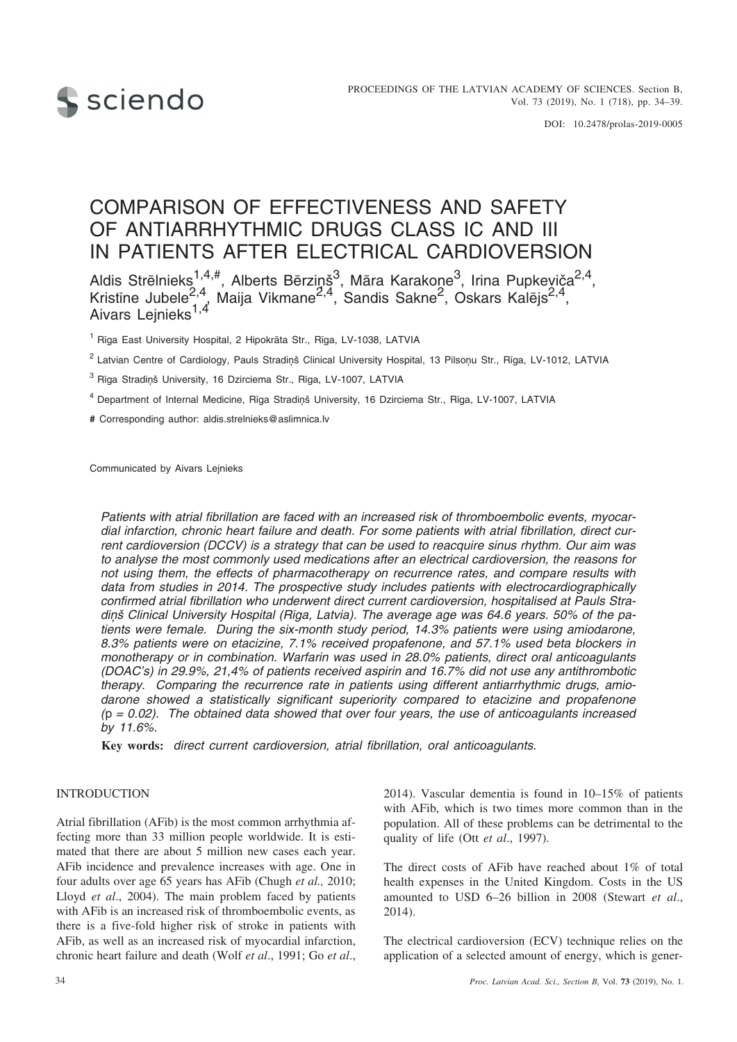

# COMPARISON OF EFFECTIVENESS AND SAFETY OF ANTIARRHYTHMIC DRUGS CLASS IC AND III IN PATIENTS AFTER ELECTRICAL CARDIOVERSION

Aldis Strēlnieks $^{1,4,\#}$ , Alberts Bērziņš $^3$ , Māra Karakone $^3$ , Irina Pupkeviča $^{2,4}$ , Kristīne Jubele<sup>2,4</sup>, Maija Vikmane<sup>2,4</sup>, Sandis Sakne<sup>2</sup>, Oskars Kalējs<sup>2,4</sup>, Aivars Lejnieks<sup>1,4</sup>

<sup>1</sup> Rîga East University Hospital, 2 Hipokrâta Str., Rîga, LV-1038, LATVIA

<sup>2</sup> Latvian Centre of Cardiology, Pauls Stradinš Clinical University Hospital, 13 Pilsonu Str., Rîga, LV-1012, LATVIA

<sup>3</sup> Rīga Stradinš University, 16 Dzirciema Str., Rīga, LV-1007, LATVIA

<sup>4</sup> Department of Internal Medicine, Rīga Stradiņš University, 16 Dzirciema Str., Rīga, LV-1007, LATVIA

**#** Corresponding author: aldis.strelnieks@aslimnica.lv

Communicated by Aivars Lejnieks

*Patients with atrial fibrillation are faced with an increased risk of thromboembolic events, myocardial infarction, chronic heart failure and death. For some patients with atrial fibrillation, direct current cardioversion (DCCV) is a strategy that can be used to reacquire sinus rhythm. Our aim was to analyse the most commonly used medications after an electrical cardioversion, the reasons for not using them, the effects of pharmacotherapy on recurrence rates, and compare results with data from studies in 2014. The prospective study includes patients with electrocardiographically confirmed atrial fibrillation who underwent direct current cardioversion, hospitalised at Pauls Stra*diņš Clinical University Hospital (Rīga, Latvia). The average age was 64.6 years. 50% of the pa*tients were female. During the six-month study period, 14.3% patients were using amiodarone, 8.3% patients were on etacizine, 7.1% received propafenone, and 57.1% used beta blockers in monotherapy or in combination. Warfarin was used in 28.0% patients, direct oral anticoagulants (DOAC's) in 29.9%, 21,4% of patients received aspirin and 16.7% did not use any antithrombotic therapy. Comparing the recurrence rate in patients using different antiarrhythmic drugs, amiodarone showed a statistically significant superiority compared to etacizine and propafenone (*p *= 0.02). The obtained data showed that over four years, the use of anticoagulants increased by 11.6%.*

**Key words:** *direct current cardioversion, atrial fibrillation, oral anticoagulants.*

#### **INTRODUCTION**

Atrial fibrillation (AFib) is the most common arrhythmia affecting more than 33 million people worldwide. It is estimated that there are about 5 million new cases each year. AFib incidence and prevalence increases with age. One in four adults over age 65 years has AFib (Chugh *et al.,* 2010; Lloyd *et al*., 2004). The main problem faced by patients with AFib is an increased risk of thromboembolic events, as there is a five-fold higher risk of stroke in patients with AFib, as well as an increased risk of myocardial infarction, chronic heart failure and death (Wolf *et al*., 1991; Go *et al*., 2014). Vascular dementia is found in 10–15% of patients with AFib, which is two times more common than in the population. All of these problems can be detrimental to the quality of life (Ott *et al*., 1997).

The direct costs of AFib have reached about 1% of total health expenses in the United Kingdom. Costs in the US amounted to USD 6–26 billion in 2008 (Stewart *et al*., 2014).

The electrical cardioversion (ECV) technique relies on the application of a selected amount of energy, which is gener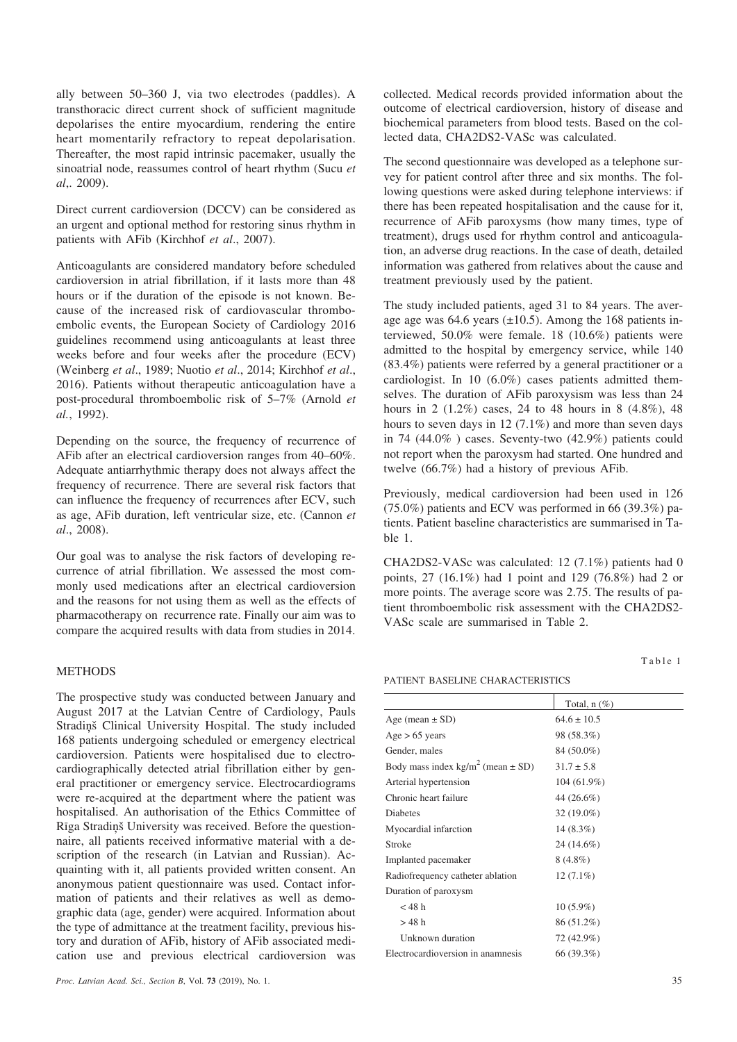ally between 50–360 J, via two electrodes (paddles). A transthoracic direct current shock of sufficient magnitude depolarises the entire myocardium, rendering the entire heart momentarily refractory to repeat depolarisation. Thereafter, the most rapid intrinsic pacemaker, usually the sinoatrial node, reassumes control of heart rhythm (Sucu *et al*,. 2009).

Direct current cardioversion (DCCV) can be considered as an urgent and optional method for restoring sinus rhythm in patients with AFib (Kirchhof *et al*., 2007).

Anticoagulants are considered mandatory before scheduled cardioversion in atrial fibrillation, if it lasts more than 48 hours or if the duration of the episode is not known. Because of the increased risk of cardiovascular thromboembolic events, the European Society of Cardiology 2016 guidelines recommend using anticoagulants at least three weeks before and four weeks after the procedure (ECV) (Weinberg *et al*., 1989; Nuotio *et al*., 2014; Kirchhof *et al*., 2016). Patients without therapeutic anticoagulation have a post-procedural thromboembolic risk of 5–7% (Arnold *et al.*, 1992).

Depending on the source, the frequency of recurrence of AFib after an electrical cardioversion ranges from 40–60%. Adequate antiarrhythmic therapy does not always affect the frequency of recurrence. There are several risk factors that can influence the frequency of recurrences after ECV, such as age, AFib duration, left ventricular size, etc. (Cannon *et al*., 2008).

Our goal was to analyse the risk factors of developing recurrence of atrial fibrillation. We assessed the most commonly used medications after an electrical cardioversion and the reasons for not using them as well as the effects of pharmacotherapy on recurrence rate. Finally our aim was to compare the acquired results with data from studies in 2014.

## **METHODS**

The prospective study was conducted between January and August 2017 at the Latvian Centre of Cardiology, Pauls Stradinš Clinical University Hospital. The study included 168 patients undergoing scheduled or emergency electrical cardioversion. Patients were hospitalised due to electrocardiographically detected atrial fibrillation either by general practitioner or emergency service. Electrocardiograms were re-acquired at the department where the patient was hospitalised. An authorisation of the Ethics Committee of Rīga Stradinš University was received. Before the questionnaire, all patients received informative material with a description of the research (in Latvian and Russian). Acquainting with it, all patients provided written consent. An anonymous patient questionnaire was used. Contact information of patients and their relatives as well as demographic data (age, gender) were acquired. Information about the type of admittance at the treatment facility, previous history and duration of AFib, history of AFib associated medication use and previous electrical cardioversion was

collected. Medical records provided information about the outcome of electrical cardioversion, history of disease and biochemical parameters from blood tests. Based on the collected data, CHA2DS2-VASc was calculated.

The second questionnaire was developed as a telephone survey for patient control after three and six months. The following questions were asked during telephone interviews: if there has been repeated hospitalisation and the cause for it, recurrence of AFib paroxysms (how many times, type of treatment), drugs used for rhythm control and anticoagulation, an adverse drug reactions. In the case of death, detailed information was gathered from relatives about the cause and treatment previously used by the patient.

The study included patients, aged 31 to 84 years. The average age was  $64.6$  years ( $\pm 10.5$ ). Among the 168 patients interviewed, 50.0% were female. 18 (10.6%) patients were admitted to the hospital by emergency service, while 140 (83.4%) patients were referred by a general practitioner or a cardiologist. In 10 (6.0%) cases patients admitted themselves. The duration of AFib paroxysism was less than 24 hours in 2 (1.2%) cases, 24 to 48 hours in 8 (4.8%), 48 hours to seven days in 12 (7.1%) and more than seven days in 74 (44.0% ) cases. Seventy-two (42.9%) patients could not report when the paroxysm had started. One hundred and twelve (66.7%) had a history of previous AFib.

Previously, medical cardioversion had been used in 126 (75.0%) patients and ECV was performed in 66 (39.3%) patients. Patient baseline characteristics are summarised in Table 1.

CHA2DS2-VASc was calculated: 12 (7.1%) patients had 0 points, 27 (16.1%) had 1 point and 129 (76.8%) had 2 or more points. The average score was 2.75. The results of patient thromboembolic risk assessment with the CHA2DS2- VASc scale are summarised in Table 2.

Table 1

PATIENT BASELINE CHARACTERISTICS

|                                                   | Total, $n$ $(\%)$ |
|---------------------------------------------------|-------------------|
| Age (mean $\pm$ SD)                               | $64.6 \pm 10.5$   |
| $Age > 65$ years                                  | 98 (58.3%)        |
| Gender, males                                     | 84 (50.0%)        |
| Body mass index kg/m <sup>2</sup> (mean $\pm$ SD) | $31.7 \pm 5.8$    |
| Arterial hypertension                             | 104 (61.9%)       |
| Chronic heart failure                             | 44 (26.6%)        |
| <b>Diabetes</b>                                   | 32 (19.0%)        |
| Myocardial infarction                             | $14(8.3\%)$       |
| Stroke                                            | 24 (14.6%)        |
| Implanted pacemaker                               | $8(4.8\%)$        |
| Radiofrequency catheter ablation                  | $12(7.1\%)$       |
| Duration of paroxysm                              |                   |
| $<$ 48 h                                          | $10(5.9\%)$       |
| >48h                                              | 86 (51.2%)        |
| Unknown duration                                  | 72 (42.9%)        |
| Electrocardioversion in anamnesis                 | 66 (39.3%)        |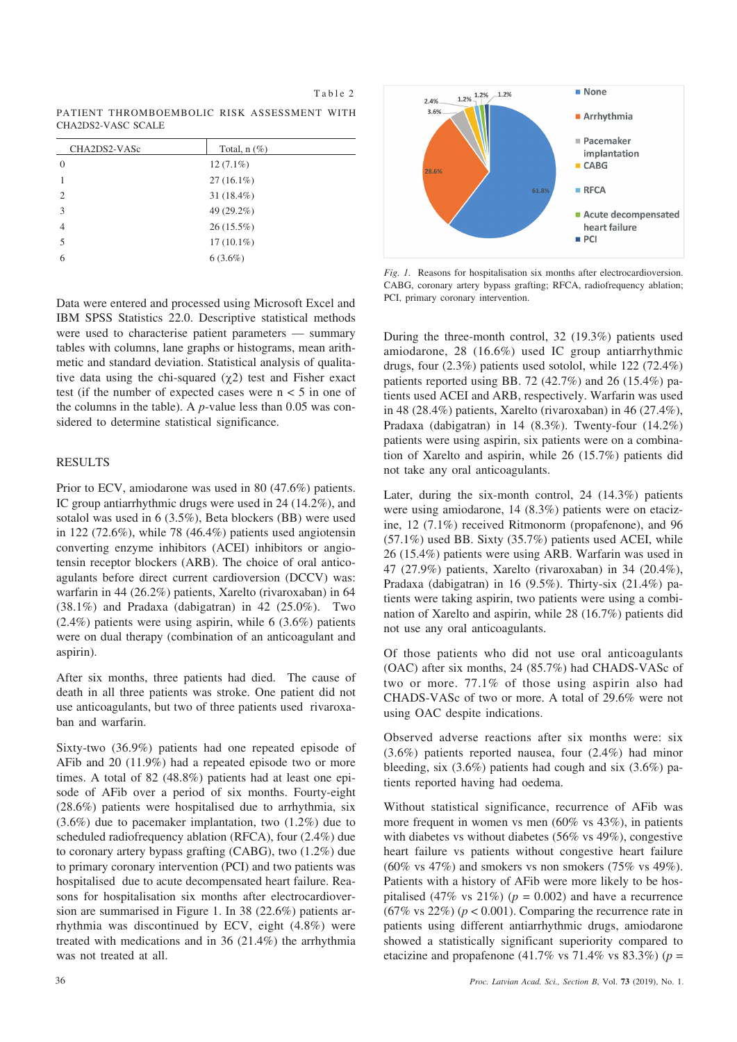| PATIENT THROMBOEMBOLIC RISK ASSESSMENT WITH |  |  |
|---------------------------------------------|--|--|
| CHA2DS2-VASC SCALE                          |  |  |

Table 2

| CHA2DS2-VASc                | Total, $n$ $(\%)$ |
|-----------------------------|-------------------|
| $\Omega$                    | $12(7.1\%)$       |
|                             | $27(16.1\%)$      |
| $\mathcal{D}_{\mathcal{A}}$ | 31 $(18.4\%)$     |
| $\mathcal{R}$               | 49 (29.2%)        |
| $\overline{4}$              | $26(15.5\%)$      |
| 5                           | $17(10.1\%)$      |
| 6                           | $6(3.6\%)$        |
|                             |                   |

Data were entered and processed using Microsoft Excel and IBM SPSS Statistics 22.0. Descriptive statistical methods were used to characterise patient parameters — summary tables with columns, lane graphs or histograms, mean arithmetic and standard deviation. Statistical analysis of qualitative data using the chi-squared  $(\chi^2)$  test and Fisher exact test (if the number of expected cases were  $n < 5$  in one of the columns in the table). A *p*-value less than 0.05 was considered to determine statistical significance.

## RESULTS

Prior to ECV, amiodarone was used in 80 (47.6%) patients. IC group antiarrhythmic drugs were used in 24 (14.2%), and sotalol was used in 6 (3.5%), Beta blockers (BB) were used in 122 (72.6%), while 78 (46.4%) patients used angiotensin converting enzyme inhibitors (ACEI) inhibitors or angiotensin receptor blockers (ARB). The choice of oral anticoagulants before direct current cardioversion (DCCV) was: warfarin in 44 (26.2%) patients, Xarelto (rivaroxaban) in 64  $(38.1\%)$  and Pradaxa (dabigatran) in 42 (25.0%). Two (2.4%) patients were using aspirin, while 6 (3.6%) patients were on dual therapy (combination of an anticoagulant and aspirin).

After six months, three patients had died. The cause of death in all three patients was stroke. One patient did not use anticoagulants, but two of three patients used rivaroxaban and warfarin.

Sixty-two (36.9%) patients had one repeated episode of AFib and 20 (11.9%) had a repeated episode two or more times. A total of 82 (48.8%) patients had at least one episode of AFib over a period of six months. Fourty-eight (28.6%) patients were hospitalised due to arrhythmia, six (3.6%) due to pacemaker implantation, two (1.2%) due to scheduled radiofrequency ablation (RFCA), four (2.4%) due to coronary artery bypass grafting (CABG), two (1.2%) due to primary coronary intervention (PCI) and two patients was hospitalised due to acute decompensated heart failure. Reasons for hospitalisation six months after electrocardioversion are summarised in Figure 1. In 38 (22.6%) patients arrhythmia was discontinued by ECV, eight (4.8%) were treated with medications and in 36 (21.4%) the arrhythmia was not treated at all.



*Fig. 1.* Reasons for hospitalisation six months after electrocardioversion. CABG, coronary artery bypass grafting; RFCA, radiofrequency ablation; PCI, primary coronary intervention.

During the three-month control, 32 (19.3%) patients used amiodarone, 28 (16.6%) used IC group antiarrhythmic drugs, four (2.3%) patients used sotolol, while 122 (72.4%) patients reported using BB. 72 (42.7%) and 26 (15.4%) patients used ACEI and ARB, respectively. Warfarin was used in 48 (28.4%) patients, Xarelto (rivaroxaban) in 46 (27.4%), Pradaxa (dabigatran) in 14 (8.3%). Twenty-four (14.2%) patients were using aspirin, six patients were on a combination of Xarelto and aspirin, while 26 (15.7%) patients did not take any oral anticoagulants.

Later, during the six-month control, 24 (14.3%) patients were using amiodarone, 14 (8.3%) patients were on etacizine, 12 (7.1%) received Ritmonorm (propafenone), and 96 (57.1%) used BB. Sixty (35.7%) patients used ACEI, while 26 (15.4%) patients were using ARB. Warfarin was used in 47 (27.9%) patients, Xarelto (rivaroxaban) in 34 (20.4%), Pradaxa (dabigatran) in 16 (9.5%). Thirty-six (21.4%) patients were taking aspirin, two patients were using a combination of Xarelto and aspirin, while 28 (16.7%) patients did not use any oral anticoagulants.

Of those patients who did not use oral anticoagulants (OAC) after six months, 24 (85.7%) had CHADS-VASc of two or more. 77.1% of those using aspirin also had CHADS-VASc of two or more. A total of 29.6% were not using OAC despite indications.

Observed adverse reactions after six months were: six (3.6%) patients reported nausea, four (2.4%) had minor bleeding, six (3.6%) patients had cough and six (3.6%) patients reported having had oedema.

Without statistical significance, recurrence of AFib was more frequent in women vs men  $(60\% \text{ vs } 43\%)$ , in patients with diabetes vs without diabetes (56% vs 49%), congestive heart failure vs patients without congestive heart failure  $(60\% \text{ vs } 47\%)$  and smokers vs non smokers  $(75\% \text{ vs } 49\%).$ Patients with a history of AFib were more likely to be hospitalised (47% vs  $21\%$ ) ( $p = 0.002$ ) and have a recurrence  $(67\% \text{ vs } 22\%)$  ( $p < 0.001$ ). Comparing the recurrence rate in patients using different antiarrhythmic drugs, amiodarone showed a statistically significant superiority compared to etacizine and propafenone  $(41.7\% \text{ vs } 71.4\% \text{ vs } 83.3\%)$  ( $p =$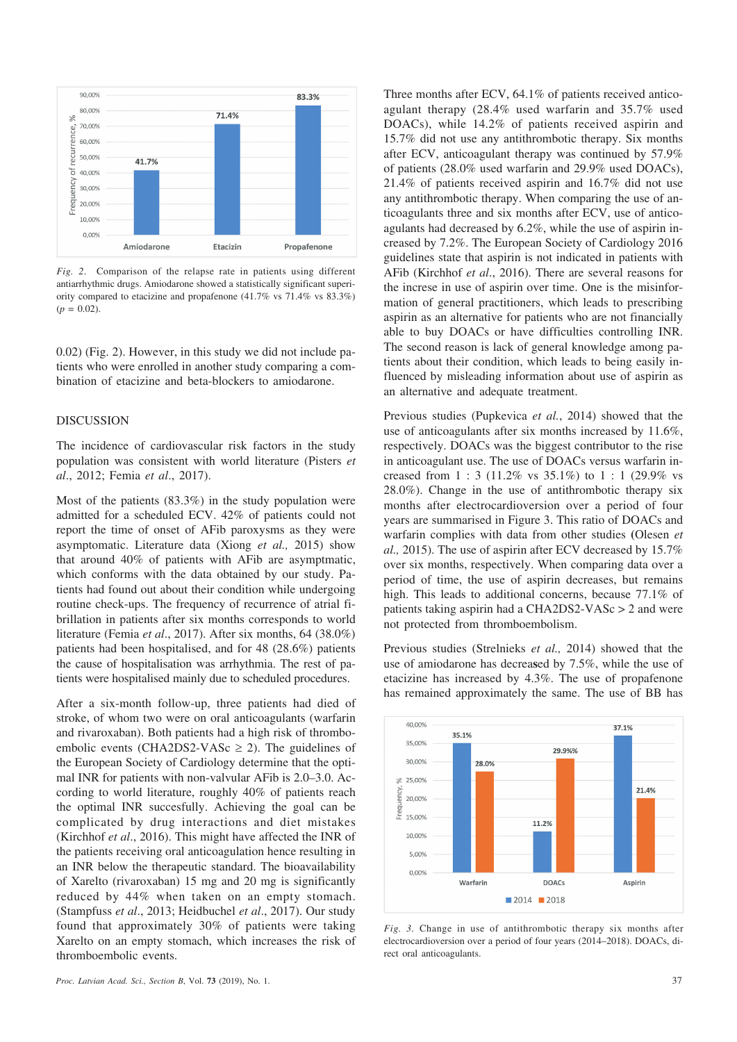

*Fig. 2*. Comparison of the relapse rate in patients using different antiarrhythmic drugs. Amiodarone showed a statistically significant superiority compared to etacizine and propafenone (41.7% vs 71.4% vs 83.3%)  $(p = 0.02)$ .

0.02) (Fig. 2). However, in this study we did not include patients who were enrolled in another study comparing a combination of etacizine and beta-blockers to amiodarone.

## **DISCUSSION**

The incidence of cardiovascular risk factors in the study population was consistent with world literature (Pisters *et al*., 2012; Femia *et al*., 2017).

Most of the patients (83.3%) in the study population were admitted for a scheduled ECV. 42% of patients could not report the time of onset of AFib paroxysms as they were asymptomatic. Literature data (Xiong *et al.,* 2015) show that around 40% of patients with AFib are asymptmatic, which conforms with the data obtained by our study. Patients had found out about their condition while undergoing routine check-ups. The frequency of recurrence of atrial fibrillation in patients after six months corresponds to world literature (Femia *et al*., 2017). After six months, 64 (38.0%) patients had been hospitalised, and for 48 (28.6%) patients the cause of hospitalisation was arrhythmia. The rest of patients were hospitalised mainly due to scheduled procedures.

After a six-month follow-up, three patients had died of stroke, of whom two were on oral anticoagulants (warfarin and rivaroxaban). Both patients had a high risk of thromboembolic events (CHA2DS2-VASc  $\geq$  2). The guidelines of the European Society of Cardiology determine that the optimal INR for patients with non-valvular AFib is 2.0–3.0. According to world literature, roughly 40% of patients reach the optimal INR succesfully. Achieving the goal can be complicated by drug interactions and diet mistakes (Kirchhof *et al*., 2016). This might have affected the INR of the patients receiving oral anticoagulation hence resulting in an INR below the therapeutic standard. The bioavailability of Xarelto (rivaroxaban) 15 mg and 20 mg is significantly reduced by 44% when taken on an empty stomach. (Stampfuss *et al*., 2013; Heidbuchel *et al*., 2017). Our study found that approximately 30% of patients were taking Xarelto on an empty stomach, which increases the risk of thromboembolic events.

Three months after ECV, 64.1% of patients received anticoagulant therapy (28.4% used warfarin and 35.7% used DOACs), while 14.2% of patients received aspirin and 15.7% did not use any antithrombotic therapy. Six months after ECV, anticoagulant therapy was continued by 57.9% of patients (28.0% used warfarin and 29.9% used DOACs), 21.4% of patients received aspirin and 16.7% did not use any antithrombotic therapy. When comparing the use of anticoagulants three and six months after ECV, use of anticoagulants had decreased by 6.2%, while the use of aspirin increased by 7.2%. The European Society of Cardiology 2016 guidelines state that aspirin is not indicated in patients with AFib (Kirchhof *et al*., 2016). There are several reasons for the increse in use of aspirin over time. One is the misinformation of general practitioners, which leads to prescribing aspirin as an alternative for patients who are not financially able to buy DOACs or have difficulties controlling INR. The second reason is lack of general knowledge among patients about their condition, which leads to being easily influenced by misleading information about use of aspirin as an alternative and adequate treatment.

Previous studies (Pupkevica *et al.*, 2014) showed that the use of anticoagulants after six months increased by 11.6%, respectively. DOACs was the biggest contributor to the rise in anticoagulant use. The use of DOACs versus warfarin increased from  $1:3$  (11.2% vs  $35.1\%$ ) to  $1:1$  (29.9% vs 28.0%). Change in the use of antithrombotic therapy six months after electrocardioversion over a period of four years are summarised in Figure 3. This ratio of DOACs and warfarin complies with data from other studies **(**Olesen *et al.,* 2015). The use of aspirin after ECV decreased by 15.7% over six months, respectively. When comparing data over a period of time, the use of aspirin decreases, but remains high. This leads to additional concerns, because 77.1% of patients taking aspirin had a CHA2DS2-VASc > 2 and were not protected from thromboembolism.

Previous studies (Strelnieks *et al.,* 2014) showed that the use of amiodarone has decrea**s**ed by 7.5%, while the use of etacizine has increased by 4.3%. The use of propafenone has remained approximately the same. The use of BB has



*Fig. 3.* Change in use of antithrombotic therapy six months after electrocardioversion over a period of four years (2014–2018). DOACs, direct oral anticoagulants.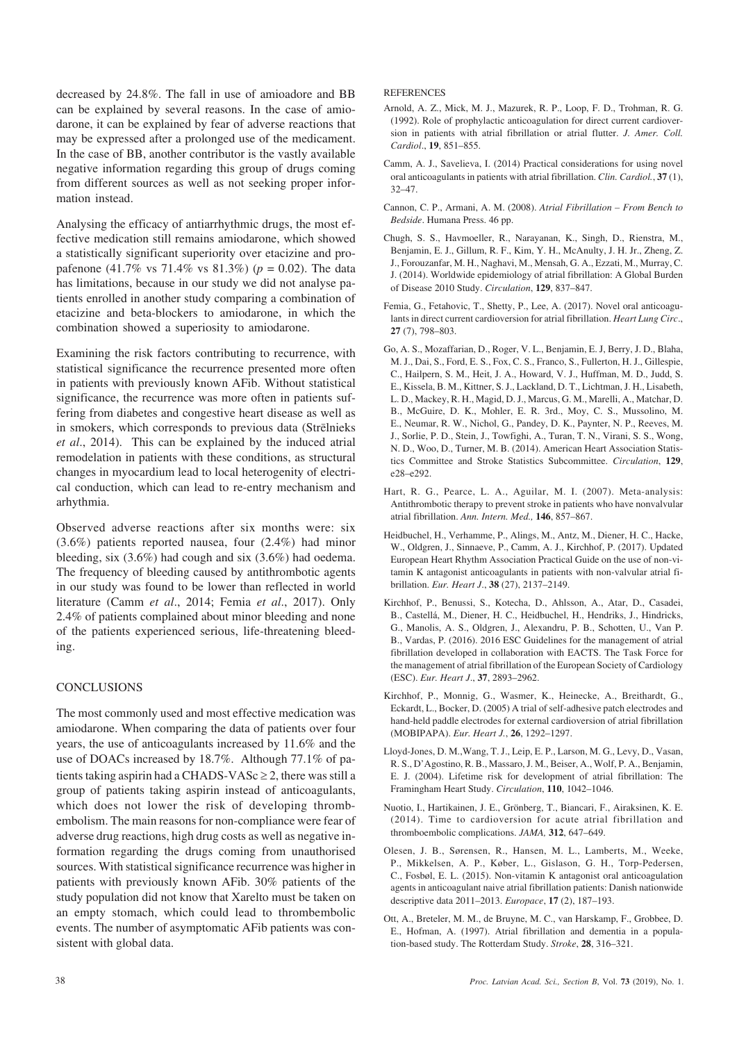decreased by 24.8%. The fall in use of amioadore and BB can be explained by several reasons. In the case of amiodarone, it can be explained by fear of adverse reactions that may be expressed after a prolonged use of the medicament. In the case of BB, another contributor is the vastly available negative information regarding this group of drugs coming from different sources as well as not seeking proper information instead.

Analysing the efficacy of antiarrhythmic drugs, the most effective medication still remains amiodarone, which showed a statistically significant superiority over etacizine and propafenone (41.7% vs 71.4% vs 81.3%) (*p* = 0.02). The data has limitations, because in our study we did not analyse patients enrolled in another study comparing a combination of etacizine and beta-blockers to amiodarone, in which the combination showed a superiosity to amiodarone.

Examining the risk factors contributing to recurrence, with statistical significance the recurrence presented more often in patients with previously known AFib. Without statistical significance, the recurrence was more often in patients suffering from diabetes and congestive heart disease as well as in smokers, which corresponds to previous data (Strēlnieks) *et al*., 2014). This can be explained by the induced atrial remodelation in patients with these conditions, as structural changes in myocardium lead to local heterogenity of electrical conduction, which can lead to re-entry mechanism and arhythmia.

Observed adverse reactions after six months were: six (3.6%) patients reported nausea, four (2.4%) had minor bleeding, six (3.6%) had cough and six (3.6%) had oedema. The frequency of bleeding caused by antithrombotic agents in our study was found to be lower than reflected in world literature (Camm *et al*., 2014; Femia *et al*., 2017). Only 2.4% of patients complained about minor bleeding and none of the patients experienced serious, life-threatening bleeding.

## **CONCLUSIONS**

The most commonly used and most effective medication was amiodarone. When comparing the data of patients over four years, the use of anticoagulants increased by 11.6% and the use of DOACs increased by 18.7%. Although 77.1% of patients taking aspirin had a CHADS-VAS $c \geq 2$ , there was still a group of patients taking aspirin instead of anticoagulants, which does not lower the risk of developing thrombembolism. The main reasons for non-compliance were fear of adverse drug reactions, high drug costs as well as negative information regarding the drugs coming from unauthorised sources. With statistical significance recurrence was higher in patients with previously known AFib. 30% patients of the study population did not know that Xarelto must be taken on an empty stomach, which could lead to thrombembolic events. The number of asymptomatic AFib patients was consistent with global data.

**REFERENCES** 

- Arnold, A. Z., Mick, M. J., Mazurek, R. P., Loop, F. D., Trohman, R. G. (1992). Role of prophylactic anticoagulation for direct current cardioversion in patients with atrial fibrillation or atrial flutter. *J. Amer. Coll. Cardiol*., **19**, 851–855.
- Camm, A. J., Savelieva, I. (2014) Practical considerations for using novel oral anticoagulants in patients with atrial fibrillation. *Clin. Cardiol.*, **37** (1),  $32-47$
- Cannon, C. P., Armani, A. M. (2008). *Atrial Fibrillation From Bench to Bedside*. Humana Press. 46 pp.
- Chugh, S. S., Havmoeller, R., Narayanan, K., Singh, D., Rienstra, M., Benjamin, E. J., Gillum, R. F., Kim, Y. H., McAnulty, J. H. Jr., Zheng, Z. J., Forouzanfar, M. H., Naghavi, M., Mensah, G. A., Ezzati, M., Murray, C. J. (2014). Worldwide epidemiology of atrial fibrillation: A Global Burden of Disease 2010 Study. *Circulation*, **129**, 837–847.
- Femia, G., Fetahovic, T., Shetty, P., Lee, A. (2017). Novel oral anticoagulants in direct current cardioversion for atrial fibrillation. *Heart Lung Circ*., **27** (7), 798–803.
- Go, A. S., Mozaffarian, D., Roger, V. L., Benjamin, E. J, Berry, J. D., Blaha, M. J., Dai, S., Ford, E. S., Fox, C. S., Franco, S., Fullerton, H. J., Gillespie, C., Hailpern, S. M., Heit, J. A., Howard, V. J., Huffman, M. D., Judd, S. E., Kissela, B. M., Kittner, S. J., Lackland, D. T., Lichtman, J. H., Lisabeth, L. D., Mackey, R. H., Magid, D. J., Marcus, G. M., Marelli, A., Matchar, D. B., McGuire, D. K., Mohler, E. R. 3rd., Moy, C. S., Mussolino, M. E., Neumar, R. W., Nichol, G., Pandey, D. K., Paynter, N. P., Reeves, M. J., Sorlie, P. D., Stein, J., Towfighi, A., Turan, T. N., Virani, S. S., Wong, N. D., Woo, D., Turner, M. B. (2014). American Heart Association Statistics Committee and Stroke Statistics Subcommittee. *Circulation*, **129**, e28–e292.
- Hart, R. G., Pearce, L. A., Aguilar, M. I. (2007). Meta-analysis: Antithrombotic therapy to prevent stroke in patients who have nonvalvular atrial fibrillation. *Ann. Intern. Med.,* **146**, 857–867.
- Heidbuchel, H., Verhamme, P., Alings, M., Antz, M., Diener, H. C., Hacke, W., Oldgren, J., Sinnaeve, P., Camm, A. J., Kirchhof, P. (2017). Updated European Heart Rhythm Association Practical Guide on the use of non-vitamin K antagonist anticoagulants in patients with non-valvular atrial fibrillation. *Eur. Heart J*., **38** (27), 2137–2149.
- Kirchhof, P., Benussi, S., Kotecha, D., Ahlsson, A., Atar, D., Casadei, B., Castellá, M., Diener, H. C., Heidbuchel, H., Hendriks, J., Hindricks, G., Manolis, A. S., Oldgren, J., Alexandru, P. B., Schotten, U., Van P. B., Vardas, P. (2016). 2016 ESC Guidelines for the management of atrial fibrillation developed in collaboration with EACTS. The Task Force for the management of atrial fibrillation of the European Society of Cardiology (ESC). *Eur. Heart J*., **37**, 2893–2962.
- Kirchhof, P., Monnig, G., Wasmer, K., Heinecke, A., Breithardt, G., Eckardt, L., Bocker, D. (2005) A trial of self-adhesive patch electrodes and hand-held paddle electrodes for external cardioversion of atrial fibrillation (MOBIPAPA). *Eur. Heart J.*, **26**, 1292–1297.
- Lloyd-Jones, D. M.,Wang, T. J., Leip, E. P., Larson, M. G., Levy, D., Vasan, R. S., D'Agostino, R. B., Massaro, J. M., Beiser, A., Wolf, P. A., Benjamin, E. J. (2004). Lifetime risk for development of atrial fibrillation: The Framingham Heart Study. *Circulation*, **110**, 1042–1046.
- Nuotio, I., Hartikainen, J. E., Grönberg, T., Biancari, F., Airaksinen, K. E. (2014). Time to cardioversion for acute atrial fibrillation and thromboembolic complications. *JAMA,* **312**, 647–649.
- Olesen, J. B., Sørensen, R., Hansen, M. L., Lamberts, M., Weeke, P., Mikkelsen, A. P., Køber, L., Gislason, G. H., Torp-Pedersen, C., Fosbøl, E. L. (2015). Non-vitamin K antagonist oral anticoagulation agents in anticoagulant naive atrial fibrillation patients: Danish nationwide descriptive data 2011–2013. *Europace*, **17** (2), 187–193.
- Ott, A., Breteler, M. M., de Bruyne, M. C., van Harskamp, F., Grobbee, D. E., Hofman, A. (1997). Atrial fibrillation and dementia in a population-based study. The Rotterdam Study. *Stroke*, **28**, 316–321.